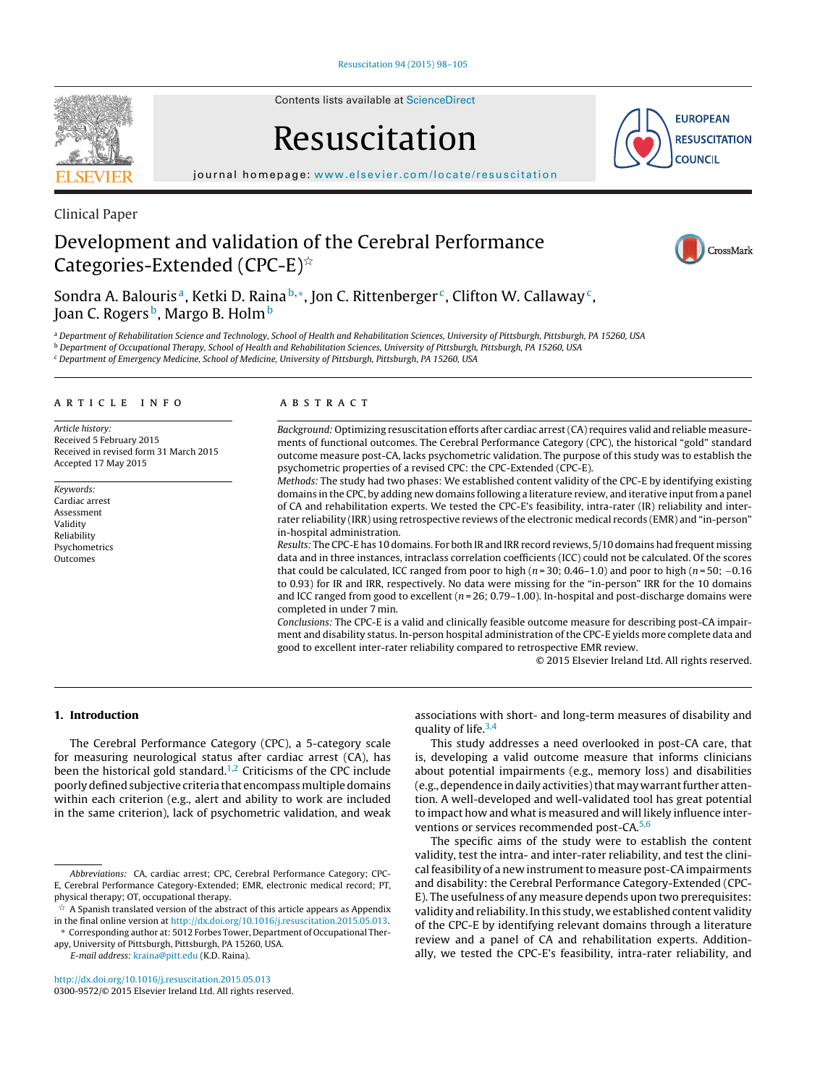

Contents lists available at [ScienceDirect](http://www.sciencedirect.com/science/journal/03009572)

# Resuscitation

**EUROPEAN RESUSCITATION COUNCIL** 

iournal homepage: [www.elsevier.com/locate/resuscitation](http://www.elsevier.com/locate/resuscitation)

Clinical Paper

## Development and validation of the Cerebral Performance Categories-Extended (CPC-E) $^{\scriptscriptstyle\mathrm{\star}\hspace{-1.5pt} \times}$



Sondra A. Balouris<sup>a</sup>, Ketki D. Raina<sup>b,\*</sup>, Jon C. Rittenberger<sup>c</sup>, Clifton W. Callaway<sup>c</sup>, Joan C. Rogers<sup>b</sup>, Margo B. Holm<sup>b</sup>

a Department of Rehabilitation Science and Technology, School of Health and Rehabilitation Sciences, University of Pittsburgh, Pittsburgh, PA 15260, USA

b Department of Occupational Therapy, School of Health and Rehabilitation Sciences, University of Pittsburgh, Pittsburgh, PA 15260, USA

<sup>c</sup> Department of Emergency Medicine, School of Medicine, University of Pittsburgh, Pittsburgh, PA 15260, USA

#### ARTICLE INFO

Article history: Received 5 February 2015 Received in revised form 31 March 2015 Accepted 17 May 2015

Keywords: Cardiac arrest Assessment Validity Reliability Psychometrics Outcomes

#### A B S T R A C T

Background: Optimizing resuscitation efforts after cardiac arrest(CA) requires valid and reliable measurements of functional outcomes. The Cerebral Performance Category (CPC), the historical "gold" standard outcome measure post-CA, lacks psychometric validation. The purpose of this study was to establish the psychometric properties of a revised CPC: the CPC-Extended (CPC-E).

Methods: The study had two phases: We established content validity of the CPC-E by identifying existing domains in the CPC, by adding new domains following a literature review, and iterative input from a panel of CA and rehabilitation experts. We tested the CPC-E's feasibility, intra-rater (IR) reliability and interrater reliability (IRR) using retrospective reviews of the electronic medical records (EMR) and "in-person" in-hospital administration.

Results: The CPC-E has 10 domains. For both IR and IRR record reviews, 5/10 domains had frequent missing data and in three instances, intraclass correlation coefficients (ICC) could not be calculated. Of the scores that could be calculated, ICC ranged from poor to high ( $n = 30$ ; 0.46–1.0) and poor to high ( $n = 50$ ; -0.16 to 0.93) for IR and IRR, respectively. No data were missing for the "in-person" IRR for the 10 domains and ICC ranged from good to excellent  $(n = 26; 0.79-1.00)$ . In-hospital and post-discharge domains were completed in under 7 min.

Conclusions: The CPC-E is a valid and clinically feasible outcome measure for describing post-CA impairment and disability status. In-person hospital administration of the CPC-E yields more complete data and good to excellent inter-rater reliability compared to retrospective EMR review.

© 2015 Elsevier Ireland Ltd. All rights reserved.

#### **1. Introduction**

The Cerebral Performance Category (CPC), a 5-category scale for measuring neurological status after cardiac arrest (CA), has been the historical gold standard.<sup>[1,2](#page-7-0)</sup> Criticisms of the CPC include poorly defined subjective criteria that encompass multiple domains within each criterion (e.g., alert and ability to work are included in the same criterion), lack of psychometric validation, and weak

E-mail address: [kraina@pitt.edu](mailto:kraina@pitt.edu) (K.D. Raina).

[http://dx.doi.org/10.1016/j.resuscitation.2015.05.013](dx.doi.org/10.1016/j.resuscitation.2015.05.013) 0300-9572/© 2015 Elsevier Ireland Ltd. All rights reserved. associations with short- and long-term measures of disability and quality of life. $3,4$ 

This study addresses a need overlooked in post-CA care, that is, developing a valid outcome measure that informs clinicians about potential impairments (e.g., memory loss) and disabilities (e.g., dependence in daily activities) that may warrant further attention. A well-developed and well-validated tool has great potential to impact how and what is measured and will likely influence inter-ventions or services recommended post-CA.<sup>[5,6](#page-7-0)</sup>

The specific aims of the study were to establish the content validity, test the intra- and inter-rater reliability, and test the clinical feasibility of a new instrument to measure post-CA impairments and disability: the Cerebral Performance Category-Extended (CPC-E). The usefulness of any measure depends upon two prerequisites: validity and reliability. In this study, we established content validity of the CPC-E by identifying relevant domains through a literature review and a panel of CA and rehabilitation experts. Additionally, we tested the CPC-E's feasibility, intra-rater reliability, and

Abbreviations: CA, cardiac arrest; CPC, Cerebral Performance Category; CPC-E, Cerebral Performance Category-Extended; EMR, electronic medical record; PT, physical therapy; OT, occupational therapy.

 $\stackrel{\scriptscriptstyle{\times}}{\scriptscriptstyle{\times}}$  A Spanish translated version of the abstract of this article appears as Appendix in the final online version at [http://dx.doi.org/10.1016/j.resuscitation.2015.05.013.](http://dx.doi.org/10.1016/j.resuscitation.2015.05.013)

<sup>∗</sup> Corresponding author at: 5012 Forbes Tower, Department of Occupational Therapy, University of Pittsburgh, Pittsburgh, PA 15260, USA.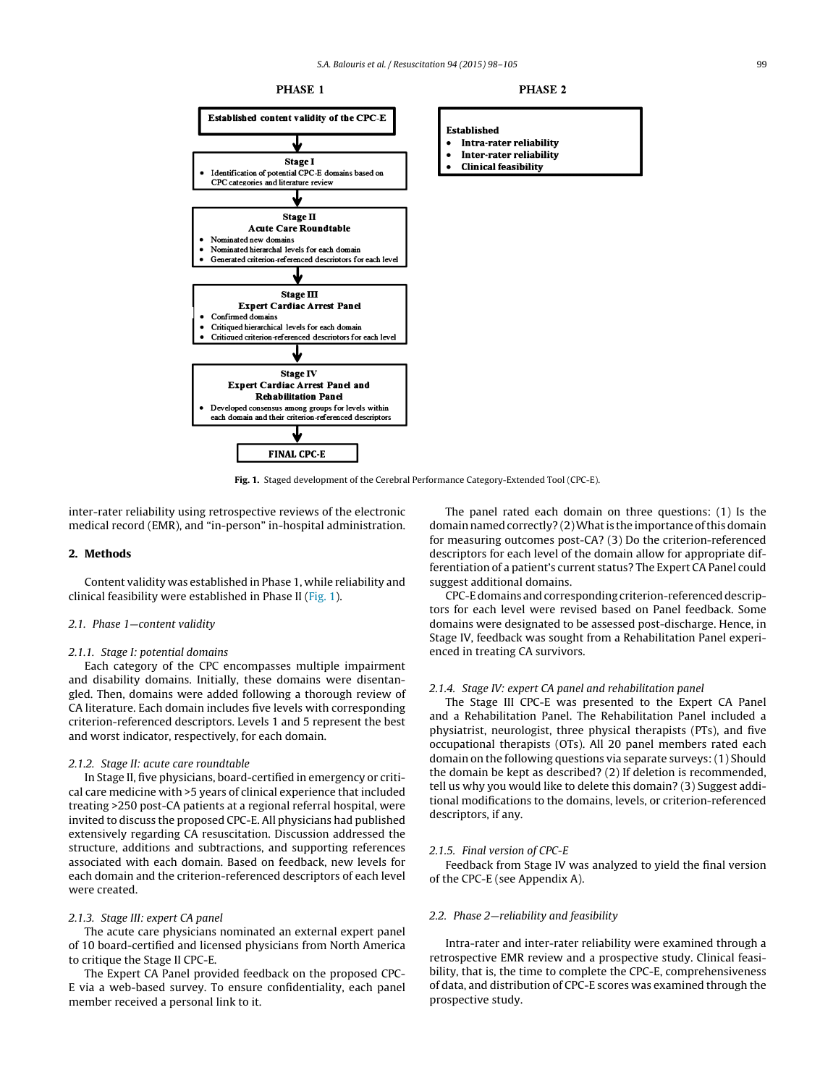

**Fig. 1.** Staged development of the Cerebral Performance Category-Extended Tool (CPC-E).

inter-rater reliability using retrospective reviews of the electronic medical record (EMR), and "in-person" in-hospital administration.

#### **2. Methods**

Content validity was established in Phase 1, while reliability and clinical feasibility were established in Phase II (Fig. 1).

#### 2.1. Phase 1—content validity

#### 2.1.1. Stage I: potential domains

Each category of the CPC encompasses multiple impairment and disability domains. Initially, these domains were disentangled. Then, domains were added following a thorough review of CA literature. Each domain includes five levels with corresponding criterion-referenced descriptors. Levels 1 and 5 represent the best and worst indicator, respectively, for each domain.

#### 2.1.2. Stage II: acute care roundtable

In Stage II, five physicians, board-certified in emergency or critical care medicine with >5 years of clinical experience that included treating >250 post-CA patients at a regional referral hospital, were invited to discuss the proposed CPC-E. All physicians had published extensively regarding CA resuscitation. Discussion addressed the structure, additions and subtractions, and supporting references associated with each domain. Based on feedback, new levels for each domain and the criterion-referenced descriptors of each level were created.

#### 2.1.3. Stage III: expert CA panel

The acute care physicians nominated an external expert panel of 10 board-certified and licensed physicians from North America to critique the Stage II CPC-E.

The Expert CA Panel provided feedback on the proposed CPC-E via a web-based survey. To ensure confidentiality, each panel member received a personal link to it.

The panel rated each domain on three questions: (1) Is the domain named correctly? (2) What is the importance of this domain for measuring outcomes post-CA? (3) Do the criterion-referenced descriptors for each level of the domain allow for appropriate differentiation of a patient's current status? The Expert CA Panel could suggest additional domains.

CPC-E domains and corresponding criterion-referenced descriptors for each level were revised based on Panel feedback. Some domains were designated to be assessed post-discharge. Hence, in Stage IV, feedback was sought from a Rehabilitation Panel experienced in treating CA survivors.

#### 2.1.4. Stage IV: expert CA panel and rehabilitation panel

The Stage III CPC-E was presented to the Expert CA Panel and a Rehabilitation Panel. The Rehabilitation Panel included a physiatrist, neurologist, three physical therapists (PTs), and five occupational therapists (OTs). All 20 panel members rated each domain on the following questions via separate surveys: (1) Should the domain be kept as described? (2) If deletion is recommended, tell us why you would like to delete this domain? (3) Suggest additional modifications to the domains, levels, or criterion-referenced descriptors, if any.

#### 2.1.5. Final version of CPC-E

Feedback from Stage IV was analyzed to yield the final version of the CPC-E (see Appendix A).

#### 2.2. Phase 2—reliability and feasibility

Intra-rater and inter-rater reliability were examined through a retrospective EMR review and a prospective study. Clinical feasibility, that is, the time to complete the CPC-E, comprehensiveness of data, and distribution of CPC-E scores was examined through the prospective study.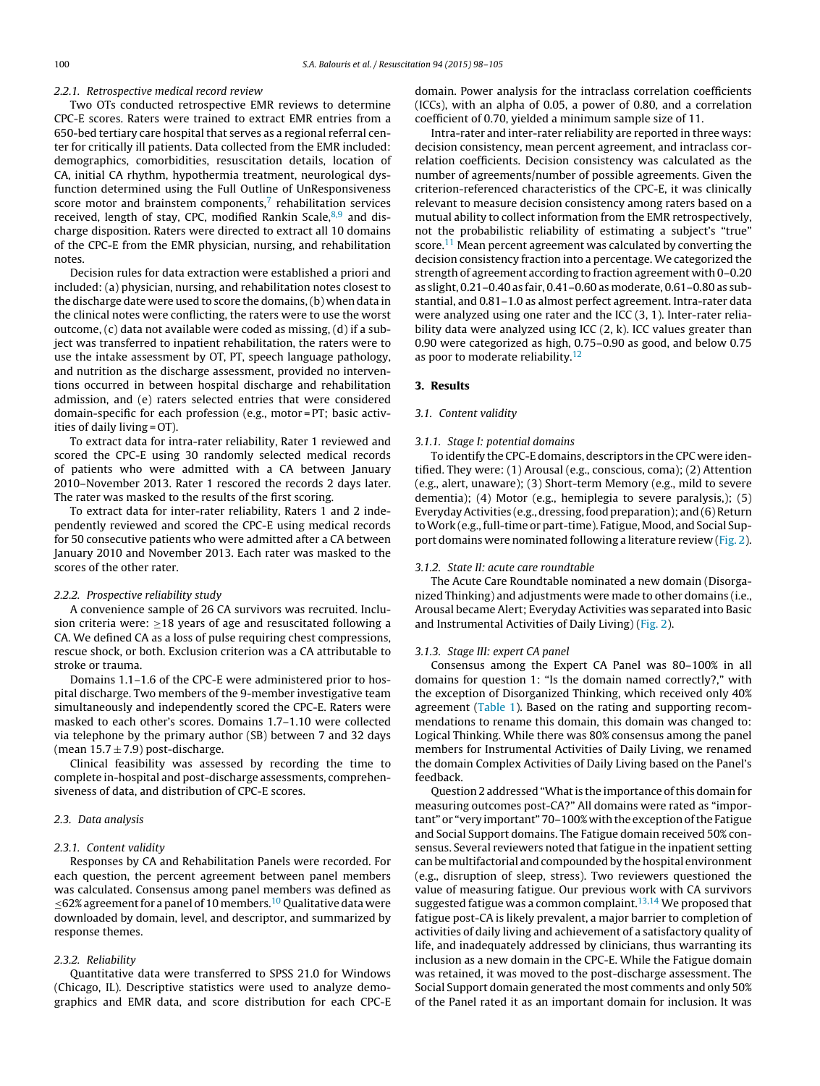#### 2.2.1. Retrospective medical record review

Two OTs conducted retrospective EMR reviews to determine CPC-E scores. Raters were trained to extract EMR entries from a 650-bed tertiary care hospital that serves as a regional referral center for critically ill patients. Data collected from the EMR included: demographics, comorbidities, resuscitation details, location of CA, initial CA rhythm, hypothermia treatment, neurological dysfunction determined using the Full Outline of UnResponsiveness score motor and brainstem components, $<sup>7</sup>$  $<sup>7</sup>$  $<sup>7</sup>$  rehabilitation services</sup> received, length of stay, CPC, modified Rankin Scale, $8,9$  and discharge disposition. Raters were directed to extract all 10 domains of the CPC-E from the EMR physician, nursing, and rehabilitation notes.

Decision rules for data extraction were established a priori and included: (a) physician, nursing, and rehabilitation notes closest to the discharge date were used to score the domains,(b) when data in the clinical notes were conflicting, the raters were to use the worst outcome, (c) data not available were coded as missing, (d) if a subject was transferred to inpatient rehabilitation, the raters were to use the intake assessment by OT, PT, speech language pathology, and nutrition as the discharge assessment, provided no interventions occurred in between hospital discharge and rehabilitation admission, and (e) raters selected entries that were considered domain-specific for each profession (e.g., motor = PT; basic activities of daily living = OT).

To extract data for intra-rater reliability, Rater 1 reviewed and scored the CPC-E using 30 randomly selected medical records of patients who were admitted with a CA between January 2010–November 2013. Rater 1 rescored the records 2 days later. The rater was masked to the results of the first scoring.

To extract data for inter-rater reliability, Raters 1 and 2 independently reviewed and scored the CPC-E using medical records for 50 consecutive patients who were admitted after a CA between January 2010 and November 2013. Each rater was masked to the scores of the other rater.

#### 2.2.2. Prospective reliability study

A convenience sample of 26 CA survivors was recruited. Inclusion criteria were:  $\geq$ 18 years of age and resuscitated following a CA. We defined CA as a loss of pulse requiring chest compressions, rescue shock, or both. Exclusion criterion was a CA attributable to stroke or trauma.

Domains 1.1–1.6 of the CPC-E were administered prior to hospital discharge. Two members of the 9-member investigative team simultaneously and independently scored the CPC-E. Raters were masked to each other's scores. Domains 1.7–1.10 were collected via telephone by the primary author (SB) between 7 and 32 days (mean  $15.7 \pm 7.9$ ) post-discharge.

Clinical feasibility was assessed by recording the time to complete in-hospital and post-discharge assessments, comprehensiveness of data, and distribution of CPC-E scores.

#### 2.3. Data analysis

#### 2.3.1. Content validity

Responses by CA and Rehabilitation Panels were recorded. For each question, the percent agreement between panel members was calculated. Consensus among panel members was defined as  $\leq$ 62% agreement for a panel of 10 members.<sup>10</sup> Qualitative data were downloaded by domain, level, and descriptor, and summarized by response themes.

#### 2.3.2. Reliability

Quantitative data were transferred to SPSS 21.0 for Windows (Chicago, IL). Descriptive statistics were used to analyze demographics and EMR data, and score distribution for each CPC-E domain. Power analysis for the intraclass correlation coefficients (ICCs), with an alpha of 0.05, a power of 0.80, and a correlation coefficient of 0.70, yielded a minimum sample size of 11.

Intra-rater and inter-rater reliability are reported in three ways: decision consistency, mean percent agreement, and intraclass correlation coefficients. Decision consistency was calculated as the number of agreements/number of possible agreements. Given the criterion-referenced characteristics of the CPC-E, it was clinically relevant to measure decision consistency among raters based on a mutual ability to collect information from the EMR retrospectively, not the probabilistic reliability of estimating a subject's "true" score.<sup>11</sup> Mean percent agreement was calculated by converting the decision consistency fraction into a percentage. We categorized the strength of agreement according to fraction agreement with 0–0.20 as slight, 0.21–0.40 as fair, 0.41–0.60 as moderate, 0.61–0.80 as substantial, and 0.81–1.0 as almost perfect agreement. Intra-rater data were analyzed using one rater and the ICC (3, 1). Inter-rater reliability data were analyzed using ICC (2, k). ICC values greater than 0.90 were categorized as high, 0.75–0.90 as good, and below 0.75 as poor to moderate reliability. $12$ 

#### **3. Results**

#### 3.1. Content validity

#### 3.1.1. Stage I: potential domains

To identify the CPC-E domains, descriptors in the CPC were identified. They were: (1) Arousal (e.g., conscious, coma); (2) Attention (e.g., alert, unaware); (3) Short-term Memory (e.g., mild to severe dementia); (4) Motor (e.g., hemiplegia to severe paralysis,); (5) Everyday Activities (e.g., dressing, food preparation); and (6) Return to Work (e.g., full-time or part-time). Fatigue, Mood, and Social Support domains were nominated following a literature review ([Fig.](#page-3-0) 2).

#### 3.1.2. State II: acute care roundtable

The Acute Care Roundtable nominated a new domain (Disorganized Thinking) and adjustments were made to other domains (i.e., Arousal became Alert; Everyday Activities was separated into Basic and Instrumental Activities of Daily Living) ([Fig.](#page-3-0) 2).

#### 3.1.3. Stage III: expert CA panel

Consensus among the Expert CA Panel was 80–100% in all domains for question 1: "Is the domain named correctly?," with the exception of Disorganized Thinking, which received only 40% agreement [\(Table](#page-4-0) 1). Based on the rating and supporting recommendations to rename this domain, this domain was changed to: Logical Thinking. While there was 80% consensus among the panel members for Instrumental Activities of Daily Living, we renamed the domain Complex Activities of Daily Living based on the Panel's feedback.

Question 2 addressed "What is the importance of this domain for measuring outcomes post-CA?" All domains were rated as "important" or "very important" 70-100% with the exception of the Fatigue and Social Support domains. The Fatigue domain received 50% consensus. Several reviewers noted that fatigue in the inpatient setting can be multifactorial and compounded by the hospital environment (e.g., disruption of sleep, stress). Two reviewers questioned the value of measuring fatigue. Our previous work with CA survivors suggested fatigue was a common complaint.<sup>[13,14](#page-7-0)</sup> We proposed that fatigue post-CA is likely prevalent, a major barrier to completion of activities of daily living and achievement of a satisfactory quality of life, and inadequately addressed by clinicians, thus warranting its inclusion as a new domain in the CPC-E. While the Fatigue domain was retained, it was moved to the post-discharge assessment. The Social Support domain generated the most comments and only 50% of the Panel rated it as an important domain for inclusion. It was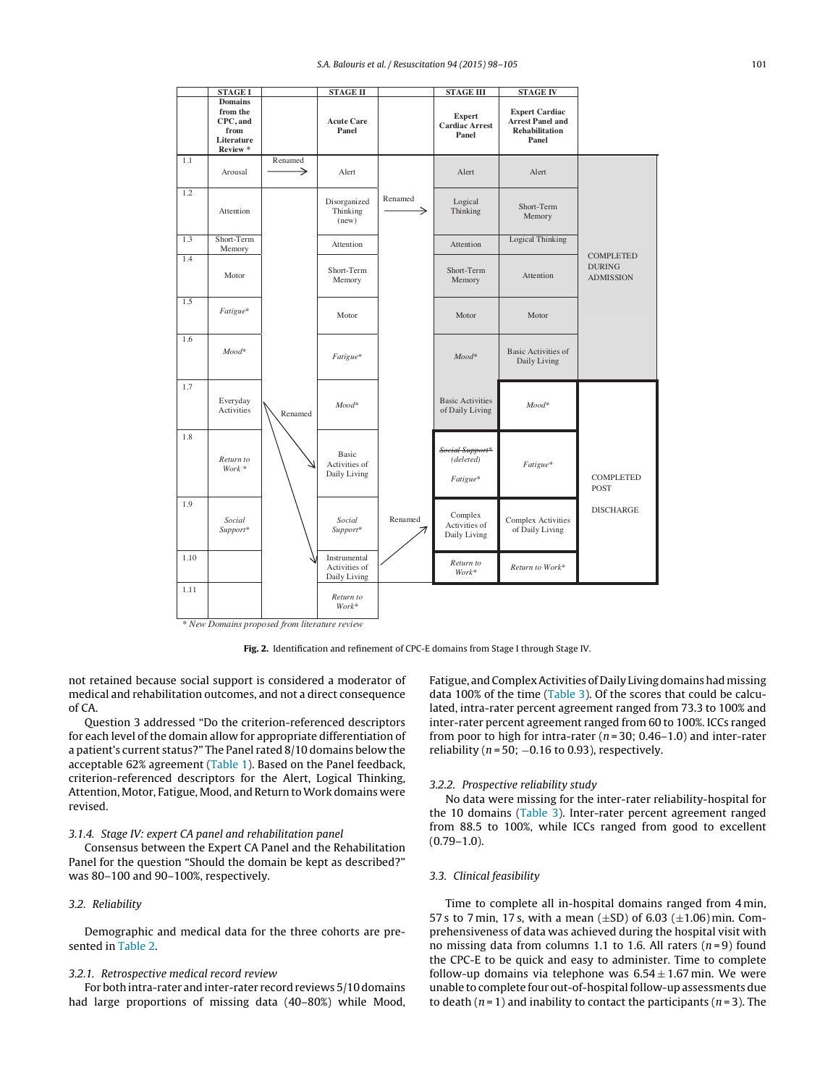<span id="page-3-0"></span>

**Fig. 2.** Identification and refinement of CPC-E domains from Stage I through Stage IV.

not retained because social support is considered a moderator of medical and rehabilitation outcomes, and not a direct consequence of CA.

Question 3 addressed "Do the criterion-referenced descriptors for each level of the domain allow for appropriate differentiation of a patient's current status?" The Panel rated 8/10 domains below the acceptable 62% agreement ([Table](#page-4-0) 1). Based on the Panel feedback, criterion-referenced descriptors for the Alert, Logical Thinking, Attention, Motor, Fatigue, Mood, and Return to Work domains were revised.

#### 3.1.4. Stage IV: expert CA panel and rehabilitation panel

Consensus between the Expert CA Panel and the Rehabilitation Panel for the question "Should the domain be kept as described?" was 80–100 and 90–100%, respectively.

#### 3.2. Reliability

Demographic and medical data for the three cohorts are presented in [Table](#page-5-0) 2.

#### 3.2.1. Retrospective medical record review

For both intra-rater and inter-rater record reviews 5/10 domains had large proportions of missing data (40–80%) while Mood, Fatigue, and Complex Activities of Daily Living domains had missing data 100% of the time ([Table](#page-6-0) 3). Of the scores that could be calculated, intra-rater percent agreement ranged from 73.3 to 100% and inter-rater percent agreement ranged from 60 to 100%. ICCs ranged from poor to high for intra-rater ( $n = 30$ ; 0.46–1.0) and inter-rater reliability ( $n = 50$ ;  $-0.16$  to 0.93), respectively.

#### 3.2.2. Prospective reliability study

No data were missing for the inter-rater reliability-hospital for the 10 domains ([Table](#page-6-0) 3). Inter-rater percent agreement ranged from 88.5 to 100%, while ICCs ranged from good to excellent  $(0.79-1.0)$ .

#### 3.3. Clinical feasibility

Time to complete all in-hospital domains ranged from 4 min, 57 s to 7 min, 17 s, with a mean ( $\pm$ SD) of 6.03 ( $\pm$ 1.06) min. Comprehensiveness of data was achieved during the hospital visit with no missing data from columns 1.1 to 1.6. All raters  $(n=9)$  found the CPC-E to be quick and easy to administer. Time to complete follow-up domains via telephone was  $6.54 \pm 1.67$  min. We were unable to complete four out-of-hospital follow-up assessments due to death ( $n = 1$ ) and inability to contact the participants ( $n = 3$ ). The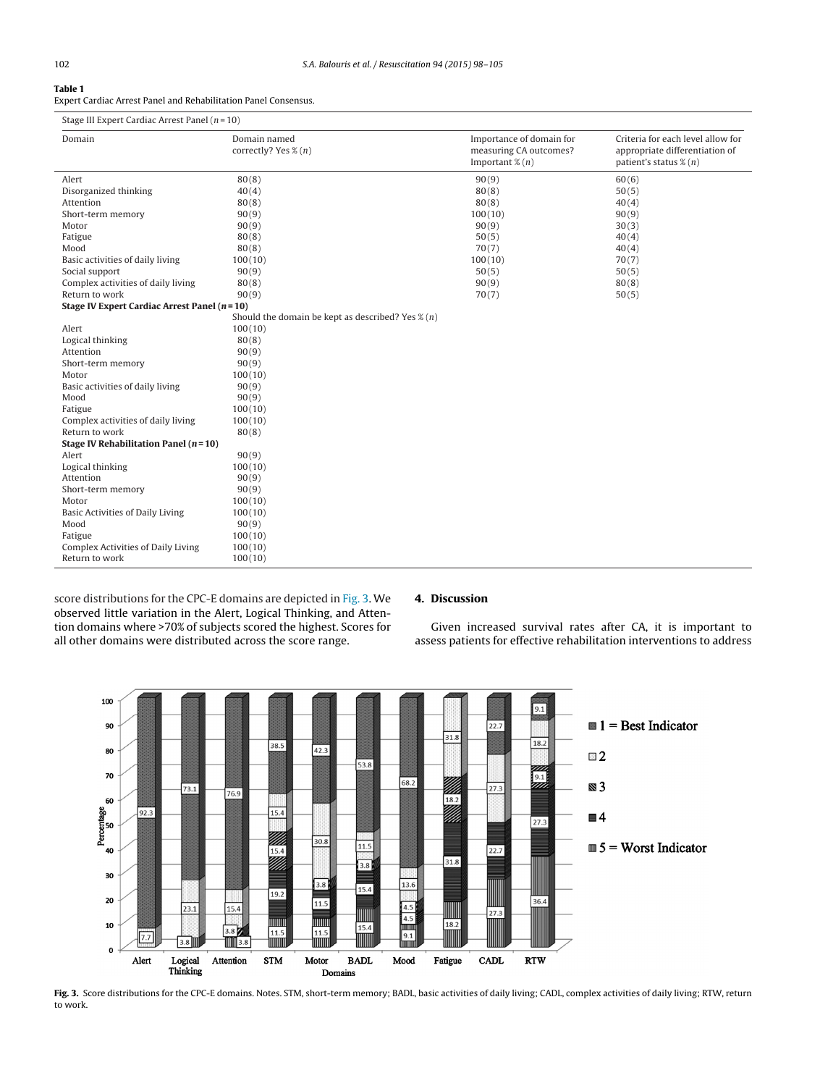#### <span id="page-4-0"></span>**Table 1**

Expert Cardiac Arrest Panel and Rehabilitation Panel Consensus.

| Stage III Expert Cardiac Arrest Panel $(n=10)$ |  |  |  |
|------------------------------------------------|--|--|--|
|                                                |  |  |  |

| Domain                                          | Domain named<br>correctly? Yes % (n)                         | Importance of domain for<br>measuring CA outcomes?<br>Important $\mathcal{E}(n)$ | Criteria for each level allow for<br>appropriate differentiation of<br>patient's status $\mathcal{X}(n)$ |
|-------------------------------------------------|--------------------------------------------------------------|----------------------------------------------------------------------------------|----------------------------------------------------------------------------------------------------------|
| Alert                                           | 80(8)                                                        | 90(9)                                                                            | 60(6)                                                                                                    |
| Disorganized thinking                           | 40(4)                                                        | 80(8)                                                                            | 50(5)                                                                                                    |
| Attention                                       | 80(8)                                                        | 80(8)                                                                            | 40(4)                                                                                                    |
| Short-term memory                               | 90(9)                                                        | 100(10)                                                                          | 90(9)                                                                                                    |
| Motor                                           | 90(9)                                                        | 90(9)                                                                            | 30(3)                                                                                                    |
| Fatigue                                         | 80(8)                                                        | 50(5)                                                                            | 40(4)                                                                                                    |
| Mood                                            | 80(8)                                                        | 70(7)                                                                            | 40(4)                                                                                                    |
| Basic activities of daily living                | 100(10)                                                      | 100(10)                                                                          | 70(7)                                                                                                    |
| Social support                                  | 90(9)                                                        | 50(5)                                                                            | 50(5)                                                                                                    |
| Complex activities of daily living              | 80(8)                                                        | 90(9)                                                                            | 80(8)                                                                                                    |
| Return to work                                  | 90(9)                                                        | 70(7)                                                                            | 50(5)                                                                                                    |
| Stage IV Expert Cardiac Arrest Panel $(n = 10)$ |                                                              |                                                                                  |                                                                                                          |
|                                                 | Should the domain be kept as described? Yes $\mathcal{X}(n)$ |                                                                                  |                                                                                                          |
| Alert                                           | 100(10)                                                      |                                                                                  |                                                                                                          |
| Logical thinking                                | 80(8)                                                        |                                                                                  |                                                                                                          |
| Attention                                       | 90(9)                                                        |                                                                                  |                                                                                                          |
| Short-term memory                               | 90(9)                                                        |                                                                                  |                                                                                                          |
| Motor                                           | 100(10)                                                      |                                                                                  |                                                                                                          |
| Basic activities of daily living                | 90(9)                                                        |                                                                                  |                                                                                                          |
| Mood                                            | 90(9)                                                        |                                                                                  |                                                                                                          |
| Fatigue                                         | 100(10)                                                      |                                                                                  |                                                                                                          |
| Complex activities of daily living              | 100(10)                                                      |                                                                                  |                                                                                                          |
| Return to work                                  | 80(8)                                                        |                                                                                  |                                                                                                          |
| Stage IV Rehabilitation Panel $(n=10)$          |                                                              |                                                                                  |                                                                                                          |
| Alert                                           | 90(9)                                                        |                                                                                  |                                                                                                          |
| Logical thinking                                | 100(10)                                                      |                                                                                  |                                                                                                          |
| Attention                                       | 90(9)                                                        |                                                                                  |                                                                                                          |
| Short-term memory                               | 90(9)                                                        |                                                                                  |                                                                                                          |
| Motor                                           | 100(10)                                                      |                                                                                  |                                                                                                          |
| Basic Activities of Daily Living                | 100(10)                                                      |                                                                                  |                                                                                                          |
| Mood                                            | 90(9)                                                        |                                                                                  |                                                                                                          |
| Fatigue                                         | 100(10)                                                      |                                                                                  |                                                                                                          |
| <b>Complex Activities of Daily Living</b>       | 100(10)                                                      |                                                                                  |                                                                                                          |
| Return to work                                  | 100(10)                                                      |                                                                                  |                                                                                                          |

score distributions for the CPC-E domains are depicted in Fig. 3. We observed little variation in the Alert, Logical Thinking, and Attention domains where >70% of subjects scored the highest. Scores for all other domains were distributed across the score range.

#### **4. Discussion**

Given increased survival rates after CA, it is important to assess patients for effective rehabilitation interventions to address



Fig. 3. Score distributions for the CPC-E domains. Notes. STM, short-term memory; BADL, basic activities of daily living; CADL, complex activities of daily living; RTW, return to work.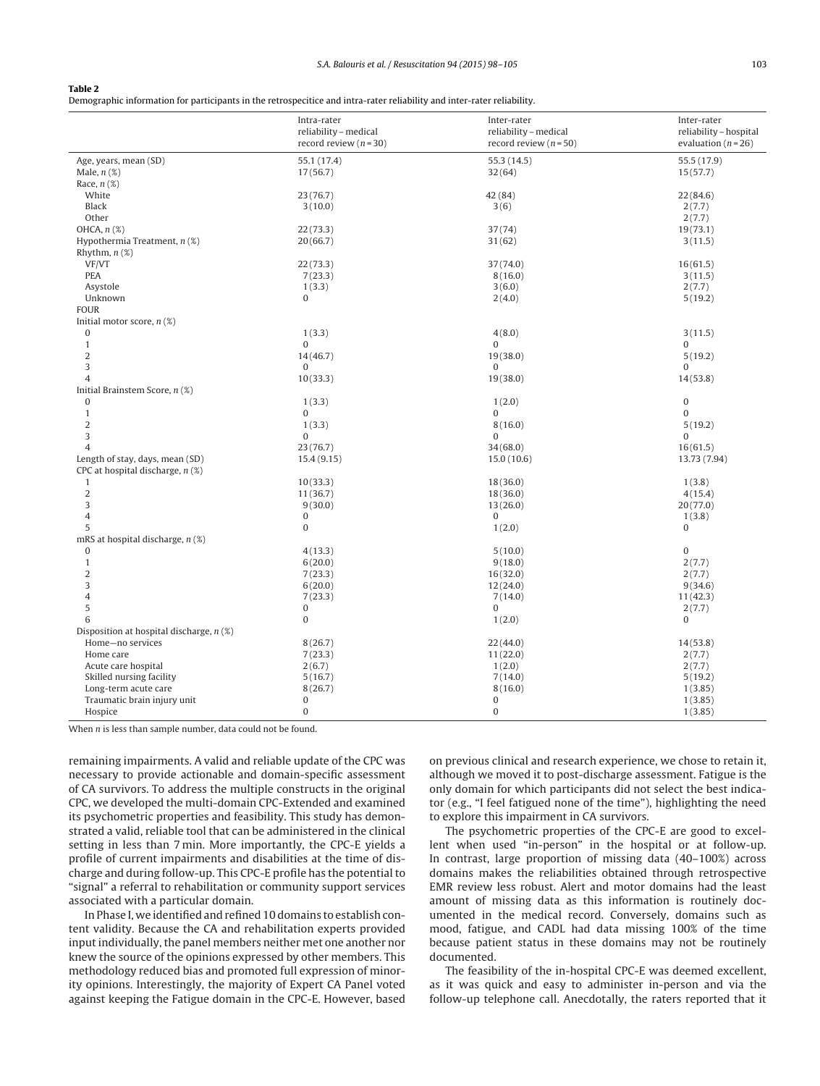#### <span id="page-5-0"></span>**Table 2**

Demographic information for participants in the retrospecitice and intra-rater reliability and inter-rater reliability.

| 55.1 (17.4)<br>55.3(14.5)<br>55.5 (17.9)<br>Age, years, mean (SD)<br>17(56.7)<br>Male, $n$ $(\%)$<br>32(64)<br>15(57.7)<br>Race, $n$ $(\%)$<br>White<br>23(76.7)<br>42 (84)<br>22(84.6)<br><b>Black</b><br>3(10.0)<br>3(6)<br>2(7.7)<br>Other<br>2(7.7)<br>OHCA, $n$ $(\%)$<br>22(73.3)<br>37(74)<br>19(73.1)<br>20(66.7)<br>Hypothermia Treatment, $n$ (%)<br>31(62)<br>3(11.5)<br>Rhythm, $n$ $(\%)$<br>VF/VT<br>22(73.3)<br>37(74.0)<br>16(61.5)<br>PEA<br>7(23.3)<br>8(16.0)<br>3(11.5)<br>Asystole<br>1(3.3)<br>3(6.0)<br>2(7.7)<br>Unknown<br>$\mathbf{0}$<br>2(4.0)<br>5(19.2)<br><b>FOUR</b><br>Initial motor score, $n$ (%)<br>$\bf{0}$<br>1(3.3)<br>4(8.0)<br>3(11.5)<br>$\mathbf{0}$<br>$\Omega$<br>$\mathbf{1}$<br>$\Omega$<br>$\overline{2}$<br>14(46.7)<br>19(38.0)<br>5(19.2)<br>3<br>$\Omega$<br>$\mathbf{0}$<br>$\Omega$<br>$\overline{4}$<br>10(33.3)<br>19(38.0)<br>14(53.8)<br>Initial Brainstem Score, n (%)<br>$\boldsymbol{0}$<br>$\bf{0}$<br>1(3.3)<br>1(2.0)<br>$\mathbf{1}$<br>$\Omega$<br>$\mathbf{0}$<br>$\Omega$<br>$\overline{2}$<br>1(3.3)<br>8(16.0)<br>5(19.2)<br>3<br>$\Omega$<br>$\Omega$<br>$\Omega$<br>$\overline{4}$<br>23(76.7)<br>34(68.0)<br>16(61.5)<br>Length of stay, days, mean (SD)<br>15.4(9.15)<br>15.0(10.6)<br>13.73 (7.94)<br>CPC at hospital discharge, $n$ (%)<br>10(33.3)<br>18(36.0)<br>$\mathbf{1}$<br>1(3.8)<br>$\overline{2}$<br>11(36.7)<br>18(36.0)<br>4(15.4)<br>3<br>9(30.0)<br>13(26.0)<br>20(77.0)<br>$\overline{4}$<br>$\bf{0}$<br>$\Omega$<br>1(3.8)<br>5<br>$\boldsymbol{0}$<br>$\bf{0}$<br>1(2.0)<br>mRS at hospital discharge, $n$ (%)<br>$\overline{0}$<br>$\boldsymbol{0}$<br>4(13.3)<br>5(10.0)<br>$\mathbf{1}$<br>6(20.0)<br>9(18.0)<br>2(7.7)<br>$\overline{2}$<br>7(23.3)<br>16(32.0)<br>2(7.7)<br>3<br>6(20.0)<br>12(24.0)<br>9(34.6)<br>$\overline{4}$<br>7(23.3)<br>7(14.0)<br>11(42.3)<br>5<br>$\Omega$<br>$\mathbf{0}$<br>2(7.7)<br>$\bf{0}$<br>$\bf{0}$<br>6<br>1(2.0)<br>Disposition at hospital discharge, $n$ (%)<br>Home-no services<br>8(26.7)<br>22(44.0)<br>14(53.8)<br>7(23.3)<br>11(22.0)<br>2(7.7)<br>Home care<br>Acute care hospital<br>2(6.7)<br>1(2.0)<br>2(7.7)<br>Skilled nursing facility<br>5(16.7)<br>7(14.0)<br>5(19.2)<br>Long-term acute care<br>8(26.7)<br>8(16.0)<br>1(3.85)<br>$\boldsymbol{0}$<br>Traumatic brain injury unit<br>$\bf{0}$<br>1(3.85)<br>$\bf{0}$<br>$\mathbf{0}$<br>1(3.85)<br>Hospice | Intra-rater<br>reliability - medical<br>record review $(n=30)$ | Inter-rater<br>reliability - medical<br>record review ( $n = 50$ ) | Inter-rater<br>reliability - hospital<br>evaluation ( $n = 26$ ) |
|-------------------------------------------------------------------------------------------------------------------------------------------------------------------------------------------------------------------------------------------------------------------------------------------------------------------------------------------------------------------------------------------------------------------------------------------------------------------------------------------------------------------------------------------------------------------------------------------------------------------------------------------------------------------------------------------------------------------------------------------------------------------------------------------------------------------------------------------------------------------------------------------------------------------------------------------------------------------------------------------------------------------------------------------------------------------------------------------------------------------------------------------------------------------------------------------------------------------------------------------------------------------------------------------------------------------------------------------------------------------------------------------------------------------------------------------------------------------------------------------------------------------------------------------------------------------------------------------------------------------------------------------------------------------------------------------------------------------------------------------------------------------------------------------------------------------------------------------------------------------------------------------------------------------------------------------------------------------------------------------------------------------------------------------------------------------------------------------------------------------------------------------------------------------------------------------------------------------------------------------------------------------------------------------------------------------------------------------------------------------------------------------------------------------|----------------------------------------------------------------|--------------------------------------------------------------------|------------------------------------------------------------------|
|                                                                                                                                                                                                                                                                                                                                                                                                                                                                                                                                                                                                                                                                                                                                                                                                                                                                                                                                                                                                                                                                                                                                                                                                                                                                                                                                                                                                                                                                                                                                                                                                                                                                                                                                                                                                                                                                                                                                                                                                                                                                                                                                                                                                                                                                                                                                                                                                                   |                                                                |                                                                    |                                                                  |
|                                                                                                                                                                                                                                                                                                                                                                                                                                                                                                                                                                                                                                                                                                                                                                                                                                                                                                                                                                                                                                                                                                                                                                                                                                                                                                                                                                                                                                                                                                                                                                                                                                                                                                                                                                                                                                                                                                                                                                                                                                                                                                                                                                                                                                                                                                                                                                                                                   |                                                                |                                                                    |                                                                  |
|                                                                                                                                                                                                                                                                                                                                                                                                                                                                                                                                                                                                                                                                                                                                                                                                                                                                                                                                                                                                                                                                                                                                                                                                                                                                                                                                                                                                                                                                                                                                                                                                                                                                                                                                                                                                                                                                                                                                                                                                                                                                                                                                                                                                                                                                                                                                                                                                                   |                                                                |                                                                    |                                                                  |
|                                                                                                                                                                                                                                                                                                                                                                                                                                                                                                                                                                                                                                                                                                                                                                                                                                                                                                                                                                                                                                                                                                                                                                                                                                                                                                                                                                                                                                                                                                                                                                                                                                                                                                                                                                                                                                                                                                                                                                                                                                                                                                                                                                                                                                                                                                                                                                                                                   |                                                                |                                                                    |                                                                  |
|                                                                                                                                                                                                                                                                                                                                                                                                                                                                                                                                                                                                                                                                                                                                                                                                                                                                                                                                                                                                                                                                                                                                                                                                                                                                                                                                                                                                                                                                                                                                                                                                                                                                                                                                                                                                                                                                                                                                                                                                                                                                                                                                                                                                                                                                                                                                                                                                                   |                                                                |                                                                    |                                                                  |
|                                                                                                                                                                                                                                                                                                                                                                                                                                                                                                                                                                                                                                                                                                                                                                                                                                                                                                                                                                                                                                                                                                                                                                                                                                                                                                                                                                                                                                                                                                                                                                                                                                                                                                                                                                                                                                                                                                                                                                                                                                                                                                                                                                                                                                                                                                                                                                                                                   |                                                                |                                                                    |                                                                  |
|                                                                                                                                                                                                                                                                                                                                                                                                                                                                                                                                                                                                                                                                                                                                                                                                                                                                                                                                                                                                                                                                                                                                                                                                                                                                                                                                                                                                                                                                                                                                                                                                                                                                                                                                                                                                                                                                                                                                                                                                                                                                                                                                                                                                                                                                                                                                                                                                                   |                                                                |                                                                    |                                                                  |
|                                                                                                                                                                                                                                                                                                                                                                                                                                                                                                                                                                                                                                                                                                                                                                                                                                                                                                                                                                                                                                                                                                                                                                                                                                                                                                                                                                                                                                                                                                                                                                                                                                                                                                                                                                                                                                                                                                                                                                                                                                                                                                                                                                                                                                                                                                                                                                                                                   |                                                                |                                                                    |                                                                  |
|                                                                                                                                                                                                                                                                                                                                                                                                                                                                                                                                                                                                                                                                                                                                                                                                                                                                                                                                                                                                                                                                                                                                                                                                                                                                                                                                                                                                                                                                                                                                                                                                                                                                                                                                                                                                                                                                                                                                                                                                                                                                                                                                                                                                                                                                                                                                                                                                                   |                                                                |                                                                    |                                                                  |
|                                                                                                                                                                                                                                                                                                                                                                                                                                                                                                                                                                                                                                                                                                                                                                                                                                                                                                                                                                                                                                                                                                                                                                                                                                                                                                                                                                                                                                                                                                                                                                                                                                                                                                                                                                                                                                                                                                                                                                                                                                                                                                                                                                                                                                                                                                                                                                                                                   |                                                                |                                                                    |                                                                  |
|                                                                                                                                                                                                                                                                                                                                                                                                                                                                                                                                                                                                                                                                                                                                                                                                                                                                                                                                                                                                                                                                                                                                                                                                                                                                                                                                                                                                                                                                                                                                                                                                                                                                                                                                                                                                                                                                                                                                                                                                                                                                                                                                                                                                                                                                                                                                                                                                                   |                                                                |                                                                    |                                                                  |
|                                                                                                                                                                                                                                                                                                                                                                                                                                                                                                                                                                                                                                                                                                                                                                                                                                                                                                                                                                                                                                                                                                                                                                                                                                                                                                                                                                                                                                                                                                                                                                                                                                                                                                                                                                                                                                                                                                                                                                                                                                                                                                                                                                                                                                                                                                                                                                                                                   |                                                                |                                                                    |                                                                  |
|                                                                                                                                                                                                                                                                                                                                                                                                                                                                                                                                                                                                                                                                                                                                                                                                                                                                                                                                                                                                                                                                                                                                                                                                                                                                                                                                                                                                                                                                                                                                                                                                                                                                                                                                                                                                                                                                                                                                                                                                                                                                                                                                                                                                                                                                                                                                                                                                                   |                                                                |                                                                    |                                                                  |
|                                                                                                                                                                                                                                                                                                                                                                                                                                                                                                                                                                                                                                                                                                                                                                                                                                                                                                                                                                                                                                                                                                                                                                                                                                                                                                                                                                                                                                                                                                                                                                                                                                                                                                                                                                                                                                                                                                                                                                                                                                                                                                                                                                                                                                                                                                                                                                                                                   |                                                                |                                                                    |                                                                  |
|                                                                                                                                                                                                                                                                                                                                                                                                                                                                                                                                                                                                                                                                                                                                                                                                                                                                                                                                                                                                                                                                                                                                                                                                                                                                                                                                                                                                                                                                                                                                                                                                                                                                                                                                                                                                                                                                                                                                                                                                                                                                                                                                                                                                                                                                                                                                                                                                                   |                                                                |                                                                    |                                                                  |
|                                                                                                                                                                                                                                                                                                                                                                                                                                                                                                                                                                                                                                                                                                                                                                                                                                                                                                                                                                                                                                                                                                                                                                                                                                                                                                                                                                                                                                                                                                                                                                                                                                                                                                                                                                                                                                                                                                                                                                                                                                                                                                                                                                                                                                                                                                                                                                                                                   |                                                                |                                                                    |                                                                  |
|                                                                                                                                                                                                                                                                                                                                                                                                                                                                                                                                                                                                                                                                                                                                                                                                                                                                                                                                                                                                                                                                                                                                                                                                                                                                                                                                                                                                                                                                                                                                                                                                                                                                                                                                                                                                                                                                                                                                                                                                                                                                                                                                                                                                                                                                                                                                                                                                                   |                                                                |                                                                    |                                                                  |
|                                                                                                                                                                                                                                                                                                                                                                                                                                                                                                                                                                                                                                                                                                                                                                                                                                                                                                                                                                                                                                                                                                                                                                                                                                                                                                                                                                                                                                                                                                                                                                                                                                                                                                                                                                                                                                                                                                                                                                                                                                                                                                                                                                                                                                                                                                                                                                                                                   |                                                                |                                                                    |                                                                  |
|                                                                                                                                                                                                                                                                                                                                                                                                                                                                                                                                                                                                                                                                                                                                                                                                                                                                                                                                                                                                                                                                                                                                                                                                                                                                                                                                                                                                                                                                                                                                                                                                                                                                                                                                                                                                                                                                                                                                                                                                                                                                                                                                                                                                                                                                                                                                                                                                                   |                                                                |                                                                    |                                                                  |
|                                                                                                                                                                                                                                                                                                                                                                                                                                                                                                                                                                                                                                                                                                                                                                                                                                                                                                                                                                                                                                                                                                                                                                                                                                                                                                                                                                                                                                                                                                                                                                                                                                                                                                                                                                                                                                                                                                                                                                                                                                                                                                                                                                                                                                                                                                                                                                                                                   |                                                                |                                                                    |                                                                  |
|                                                                                                                                                                                                                                                                                                                                                                                                                                                                                                                                                                                                                                                                                                                                                                                                                                                                                                                                                                                                                                                                                                                                                                                                                                                                                                                                                                                                                                                                                                                                                                                                                                                                                                                                                                                                                                                                                                                                                                                                                                                                                                                                                                                                                                                                                                                                                                                                                   |                                                                |                                                                    |                                                                  |
|                                                                                                                                                                                                                                                                                                                                                                                                                                                                                                                                                                                                                                                                                                                                                                                                                                                                                                                                                                                                                                                                                                                                                                                                                                                                                                                                                                                                                                                                                                                                                                                                                                                                                                                                                                                                                                                                                                                                                                                                                                                                                                                                                                                                                                                                                                                                                                                                                   |                                                                |                                                                    |                                                                  |
|                                                                                                                                                                                                                                                                                                                                                                                                                                                                                                                                                                                                                                                                                                                                                                                                                                                                                                                                                                                                                                                                                                                                                                                                                                                                                                                                                                                                                                                                                                                                                                                                                                                                                                                                                                                                                                                                                                                                                                                                                                                                                                                                                                                                                                                                                                                                                                                                                   |                                                                |                                                                    |                                                                  |
|                                                                                                                                                                                                                                                                                                                                                                                                                                                                                                                                                                                                                                                                                                                                                                                                                                                                                                                                                                                                                                                                                                                                                                                                                                                                                                                                                                                                                                                                                                                                                                                                                                                                                                                                                                                                                                                                                                                                                                                                                                                                                                                                                                                                                                                                                                                                                                                                                   |                                                                |                                                                    |                                                                  |
|                                                                                                                                                                                                                                                                                                                                                                                                                                                                                                                                                                                                                                                                                                                                                                                                                                                                                                                                                                                                                                                                                                                                                                                                                                                                                                                                                                                                                                                                                                                                                                                                                                                                                                                                                                                                                                                                                                                                                                                                                                                                                                                                                                                                                                                                                                                                                                                                                   |                                                                |                                                                    |                                                                  |
|                                                                                                                                                                                                                                                                                                                                                                                                                                                                                                                                                                                                                                                                                                                                                                                                                                                                                                                                                                                                                                                                                                                                                                                                                                                                                                                                                                                                                                                                                                                                                                                                                                                                                                                                                                                                                                                                                                                                                                                                                                                                                                                                                                                                                                                                                                                                                                                                                   |                                                                |                                                                    |                                                                  |
|                                                                                                                                                                                                                                                                                                                                                                                                                                                                                                                                                                                                                                                                                                                                                                                                                                                                                                                                                                                                                                                                                                                                                                                                                                                                                                                                                                                                                                                                                                                                                                                                                                                                                                                                                                                                                                                                                                                                                                                                                                                                                                                                                                                                                                                                                                                                                                                                                   |                                                                |                                                                    |                                                                  |
|                                                                                                                                                                                                                                                                                                                                                                                                                                                                                                                                                                                                                                                                                                                                                                                                                                                                                                                                                                                                                                                                                                                                                                                                                                                                                                                                                                                                                                                                                                                                                                                                                                                                                                                                                                                                                                                                                                                                                                                                                                                                                                                                                                                                                                                                                                                                                                                                                   |                                                                |                                                                    |                                                                  |
|                                                                                                                                                                                                                                                                                                                                                                                                                                                                                                                                                                                                                                                                                                                                                                                                                                                                                                                                                                                                                                                                                                                                                                                                                                                                                                                                                                                                                                                                                                                                                                                                                                                                                                                                                                                                                                                                                                                                                                                                                                                                                                                                                                                                                                                                                                                                                                                                                   |                                                                |                                                                    |                                                                  |
|                                                                                                                                                                                                                                                                                                                                                                                                                                                                                                                                                                                                                                                                                                                                                                                                                                                                                                                                                                                                                                                                                                                                                                                                                                                                                                                                                                                                                                                                                                                                                                                                                                                                                                                                                                                                                                                                                                                                                                                                                                                                                                                                                                                                                                                                                                                                                                                                                   |                                                                |                                                                    |                                                                  |
|                                                                                                                                                                                                                                                                                                                                                                                                                                                                                                                                                                                                                                                                                                                                                                                                                                                                                                                                                                                                                                                                                                                                                                                                                                                                                                                                                                                                                                                                                                                                                                                                                                                                                                                                                                                                                                                                                                                                                                                                                                                                                                                                                                                                                                                                                                                                                                                                                   |                                                                |                                                                    |                                                                  |
|                                                                                                                                                                                                                                                                                                                                                                                                                                                                                                                                                                                                                                                                                                                                                                                                                                                                                                                                                                                                                                                                                                                                                                                                                                                                                                                                                                                                                                                                                                                                                                                                                                                                                                                                                                                                                                                                                                                                                                                                                                                                                                                                                                                                                                                                                                                                                                                                                   |                                                                |                                                                    |                                                                  |
|                                                                                                                                                                                                                                                                                                                                                                                                                                                                                                                                                                                                                                                                                                                                                                                                                                                                                                                                                                                                                                                                                                                                                                                                                                                                                                                                                                                                                                                                                                                                                                                                                                                                                                                                                                                                                                                                                                                                                                                                                                                                                                                                                                                                                                                                                                                                                                                                                   |                                                                |                                                                    |                                                                  |
|                                                                                                                                                                                                                                                                                                                                                                                                                                                                                                                                                                                                                                                                                                                                                                                                                                                                                                                                                                                                                                                                                                                                                                                                                                                                                                                                                                                                                                                                                                                                                                                                                                                                                                                                                                                                                                                                                                                                                                                                                                                                                                                                                                                                                                                                                                                                                                                                                   |                                                                |                                                                    |                                                                  |
|                                                                                                                                                                                                                                                                                                                                                                                                                                                                                                                                                                                                                                                                                                                                                                                                                                                                                                                                                                                                                                                                                                                                                                                                                                                                                                                                                                                                                                                                                                                                                                                                                                                                                                                                                                                                                                                                                                                                                                                                                                                                                                                                                                                                                                                                                                                                                                                                                   |                                                                |                                                                    |                                                                  |
|                                                                                                                                                                                                                                                                                                                                                                                                                                                                                                                                                                                                                                                                                                                                                                                                                                                                                                                                                                                                                                                                                                                                                                                                                                                                                                                                                                                                                                                                                                                                                                                                                                                                                                                                                                                                                                                                                                                                                                                                                                                                                                                                                                                                                                                                                                                                                                                                                   |                                                                |                                                                    |                                                                  |
|                                                                                                                                                                                                                                                                                                                                                                                                                                                                                                                                                                                                                                                                                                                                                                                                                                                                                                                                                                                                                                                                                                                                                                                                                                                                                                                                                                                                                                                                                                                                                                                                                                                                                                                                                                                                                                                                                                                                                                                                                                                                                                                                                                                                                                                                                                                                                                                                                   |                                                                |                                                                    |                                                                  |
|                                                                                                                                                                                                                                                                                                                                                                                                                                                                                                                                                                                                                                                                                                                                                                                                                                                                                                                                                                                                                                                                                                                                                                                                                                                                                                                                                                                                                                                                                                                                                                                                                                                                                                                                                                                                                                                                                                                                                                                                                                                                                                                                                                                                                                                                                                                                                                                                                   |                                                                |                                                                    |                                                                  |
|                                                                                                                                                                                                                                                                                                                                                                                                                                                                                                                                                                                                                                                                                                                                                                                                                                                                                                                                                                                                                                                                                                                                                                                                                                                                                                                                                                                                                                                                                                                                                                                                                                                                                                                                                                                                                                                                                                                                                                                                                                                                                                                                                                                                                                                                                                                                                                                                                   |                                                                |                                                                    |                                                                  |
|                                                                                                                                                                                                                                                                                                                                                                                                                                                                                                                                                                                                                                                                                                                                                                                                                                                                                                                                                                                                                                                                                                                                                                                                                                                                                                                                                                                                                                                                                                                                                                                                                                                                                                                                                                                                                                                                                                                                                                                                                                                                                                                                                                                                                                                                                                                                                                                                                   |                                                                |                                                                    |                                                                  |
|                                                                                                                                                                                                                                                                                                                                                                                                                                                                                                                                                                                                                                                                                                                                                                                                                                                                                                                                                                                                                                                                                                                                                                                                                                                                                                                                                                                                                                                                                                                                                                                                                                                                                                                                                                                                                                                                                                                                                                                                                                                                                                                                                                                                                                                                                                                                                                                                                   |                                                                |                                                                    |                                                                  |
|                                                                                                                                                                                                                                                                                                                                                                                                                                                                                                                                                                                                                                                                                                                                                                                                                                                                                                                                                                                                                                                                                                                                                                                                                                                                                                                                                                                                                                                                                                                                                                                                                                                                                                                                                                                                                                                                                                                                                                                                                                                                                                                                                                                                                                                                                                                                                                                                                   |                                                                |                                                                    |                                                                  |
|                                                                                                                                                                                                                                                                                                                                                                                                                                                                                                                                                                                                                                                                                                                                                                                                                                                                                                                                                                                                                                                                                                                                                                                                                                                                                                                                                                                                                                                                                                                                                                                                                                                                                                                                                                                                                                                                                                                                                                                                                                                                                                                                                                                                                                                                                                                                                                                                                   |                                                                |                                                                    |                                                                  |
|                                                                                                                                                                                                                                                                                                                                                                                                                                                                                                                                                                                                                                                                                                                                                                                                                                                                                                                                                                                                                                                                                                                                                                                                                                                                                                                                                                                                                                                                                                                                                                                                                                                                                                                                                                                                                                                                                                                                                                                                                                                                                                                                                                                                                                                                                                                                                                                                                   |                                                                |                                                                    |                                                                  |
|                                                                                                                                                                                                                                                                                                                                                                                                                                                                                                                                                                                                                                                                                                                                                                                                                                                                                                                                                                                                                                                                                                                                                                                                                                                                                                                                                                                                                                                                                                                                                                                                                                                                                                                                                                                                                                                                                                                                                                                                                                                                                                                                                                                                                                                                                                                                                                                                                   |                                                                |                                                                    |                                                                  |
|                                                                                                                                                                                                                                                                                                                                                                                                                                                                                                                                                                                                                                                                                                                                                                                                                                                                                                                                                                                                                                                                                                                                                                                                                                                                                                                                                                                                                                                                                                                                                                                                                                                                                                                                                                                                                                                                                                                                                                                                                                                                                                                                                                                                                                                                                                                                                                                                                   |                                                                |                                                                    |                                                                  |
|                                                                                                                                                                                                                                                                                                                                                                                                                                                                                                                                                                                                                                                                                                                                                                                                                                                                                                                                                                                                                                                                                                                                                                                                                                                                                                                                                                                                                                                                                                                                                                                                                                                                                                                                                                                                                                                                                                                                                                                                                                                                                                                                                                                                                                                                                                                                                                                                                   |                                                                |                                                                    |                                                                  |
|                                                                                                                                                                                                                                                                                                                                                                                                                                                                                                                                                                                                                                                                                                                                                                                                                                                                                                                                                                                                                                                                                                                                                                                                                                                                                                                                                                                                                                                                                                                                                                                                                                                                                                                                                                                                                                                                                                                                                                                                                                                                                                                                                                                                                                                                                                                                                                                                                   |                                                                |                                                                    |                                                                  |
|                                                                                                                                                                                                                                                                                                                                                                                                                                                                                                                                                                                                                                                                                                                                                                                                                                                                                                                                                                                                                                                                                                                                                                                                                                                                                                                                                                                                                                                                                                                                                                                                                                                                                                                                                                                                                                                                                                                                                                                                                                                                                                                                                                                                                                                                                                                                                                                                                   |                                                                |                                                                    |                                                                  |

When *n* is less than sample number, data could not be found.

remaining impairments. A valid and reliable update of the CPC was necessary to provide actionable and domain-specific assessment of CA survivors. To address the multiple constructs in the original CPC, we developed the multi-domain CPC-Extended and examined its psychometric properties and feasibility. This study has demonstrated a valid, reliable tool that can be administered in the clinical setting in less than 7 min. More importantly, the CPC-E yields a profile of current impairments and disabilities at the time of discharge and during follow-up. This CPC-E profile has the potential to "signal" a referral to rehabilitation or community support services associated with a particular domain.

In Phase I, we identified and refined 10 domains to establish content validity. Because the CA and rehabilitation experts provided input individually, the panel members neither met one another nor knew the source of the opinions expressed by other members. This methodology reduced bias and promoted full expression of minority opinions. Interestingly, the majority of Expert CA Panel voted against keeping the Fatigue domain in the CPC-E. However, based

on previous clinical and research experience, we chose to retain it, although we moved it to post-discharge assessment. Fatigue is the only domain for which participants did not select the best indicator (e.g., "I feel fatigued none of the time"), highlighting the need to explore this impairment in CA survivors.

The psychometric properties of the CPC-E are good to excellent when used "in-person" in the hospital or at follow-up. In contrast, large proportion of missing data (40–100%) across domains makes the reliabilities obtained through retrospective EMR review less robust. Alert and motor domains had the least amount of missing data as this information is routinely documented in the medical record. Conversely, domains such as mood, fatigue, and CADL had data missing 100% of the time because patient status in these domains may not be routinely documented.

The feasibility of the in-hospital CPC-E was deemed excellent, as it was quick and easy to administer in-person and via the follow-up telephone call. Anecdotally, the raters reported that it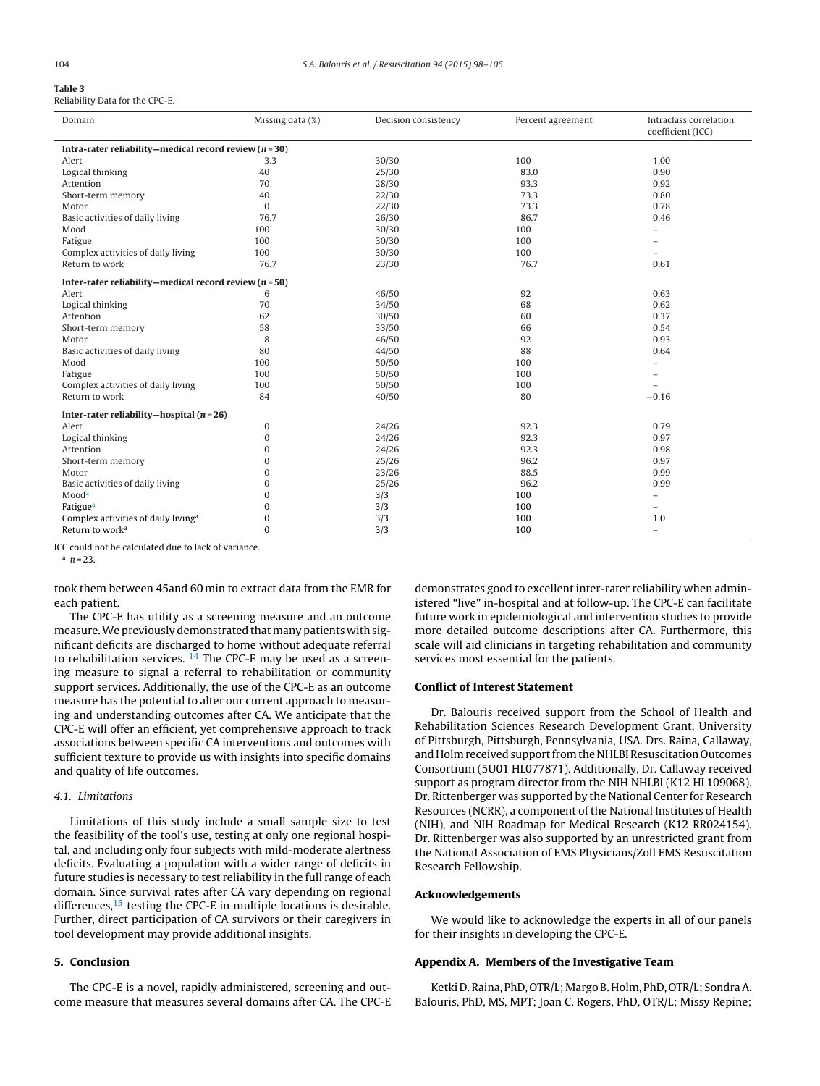### <span id="page-6-0"></span>**Table 3**

|  |  |  |  | Reliability Data for the CPC-E. |  |  |  |  |
|--|--|--|--|---------------------------------|--|--|--|--|
|--|--|--|--|---------------------------------|--|--|--|--|

| Domain                                                 | Missing data (%) | Decision consistency | Percent agreement | Intraclass correlation<br>coefficient (ICC) |  |  |  |
|--------------------------------------------------------|------------------|----------------------|-------------------|---------------------------------------------|--|--|--|
| Intra-rater reliability-medical record review $(n=30)$ |                  |                      |                   |                                             |  |  |  |
| Alert                                                  | 3.3              | 30/30                | 100               | 1.00                                        |  |  |  |
| Logical thinking                                       | 40               | 25/30                | 83.0              | 0.90                                        |  |  |  |
| Attention                                              | 70               | 28/30                | 93.3              | 0.92                                        |  |  |  |
| Short-term memory                                      | 40               | 22/30                | 73.3              | 0.80                                        |  |  |  |
| Motor                                                  | $\mathbf{0}$     | 22/30                | 73.3              | 0.78                                        |  |  |  |
| Basic activities of daily living                       | 76.7             | 26/30                | 86.7              | 0.46                                        |  |  |  |
| Mood                                                   | 100              | 30/30                | 100               | $\overline{\phantom{0}}$                    |  |  |  |
| Fatigue                                                | 100              | 30/30                | 100               |                                             |  |  |  |
| Complex activities of daily living                     | 100              | 30/30                | 100               |                                             |  |  |  |
| Return to work                                         | 76.7             | 23/30                | 76.7              | 0.61                                        |  |  |  |
| Inter-rater reliability-medical record review $(n=50)$ |                  |                      |                   |                                             |  |  |  |
| Alert                                                  | 6                | 46/50                | 92                | 0.63                                        |  |  |  |
| Logical thinking                                       | 70               | 34/50                | 68                | 0.62                                        |  |  |  |
| Attention                                              | 62               | 30/50                | 60                | 0.37                                        |  |  |  |
| Short-term memory                                      | 58               | 33/50                | 66                | 0.54                                        |  |  |  |
| Motor                                                  | 8                | 46/50                | 92                | 0.93                                        |  |  |  |
| Basic activities of daily living                       | 80               | 44/50                | 88                | 0.64                                        |  |  |  |
| Mood                                                   | 100              | 50/50                | 100               |                                             |  |  |  |
| Fatigue                                                | 100              | 50/50                | 100               |                                             |  |  |  |
| Complex activities of daily living                     | 100              | 50/50                | 100               |                                             |  |  |  |
| Return to work                                         | 84               | 40/50                | 80                | $-0.16$                                     |  |  |  |
| Inter-rater reliability-hospital $(n=26)$              |                  |                      |                   |                                             |  |  |  |
| Alert                                                  | $\mathbf{0}$     | 24/26                | 92.3              | 0.79                                        |  |  |  |
| Logical thinking                                       | $\mathbf{0}$     | 24/26                | 92.3              | 0.97                                        |  |  |  |
| Attention                                              | $\Omega$         | 24/26                | 92.3              | 0.98                                        |  |  |  |
| Short-term memory                                      | 0                | 25/26                | 96.2              | 0.97                                        |  |  |  |
| Motor                                                  | $\Omega$         | 23/26                | 88.5              | 0.99                                        |  |  |  |
| Basic activities of daily living                       | $\Omega$         | 25/26                | 96.2              | 0.99                                        |  |  |  |
| Mooda                                                  | $\Omega$         | 3/3                  | 100               |                                             |  |  |  |
| Fatigue <sup>a</sup>                                   | $\Omega$         | 3/3                  | 100               |                                             |  |  |  |
| Complex activities of daily living <sup>a</sup>        | 0                | 3/3                  | 100               | 1.0                                         |  |  |  |
| Return to work <sup>a</sup>                            | $\theta$         | 3/3                  | 100               | $\qquad \qquad -$                           |  |  |  |

ICC could not be calculated due to lack of variance.

 $n = 23$ 

took them between 45and 60 min to extract data from the EMR for each patient.

The CPC-E has utility as a screening measure and an outcome measure.We previously demonstrated that many patients with significant deficits are discharged to home without adequate referral to rehabilitation services.  $14$  The CPC-E may be used as a screening measure to signal a referral to rehabilitation or community support services. Additionally, the use of the CPC-E as an outcome measure has the potential to alter our current approach to measuring and understanding outcomes after CA. We anticipate that the CPC-E will offer an efficient, yet comprehensive approach to track associations between specific CA interventions and outcomes with sufficient texture to provide us with insights into specific domains and quality of life outcomes.

#### 4.1. Limitations

Limitations of this study include a small sample size to test the feasibility of the tool's use, testing at only one regional hospital, and including only four subjects with mild-moderate alertness deficits. Evaluating a population with a wider range of deficits in future studies is necessary to test reliability in the full range of each domain. Since survival rates after CA vary depending on regional differences, $15$  testing the CPC-E in multiple locations is desirable. Further, direct participation of CA survivors or their caregivers in tool development may provide additional insights.

#### **5. Conclusion**

The CPC-E is a novel, rapidly administered, screening and outcome measure that measures several domains after CA. The CPC-E demonstrates good to excellent inter-rater reliability when administered "live" in-hospital and at follow-up. The CPC-E can facilitate future work in epidemiological and intervention studies to provide more detailed outcome descriptions after CA. Furthermore, this scale will aid clinicians in targeting rehabilitation and community services most essential for the patients.

#### **Conflict of Interest Statement**

Dr. Balouris received support from the School of Health and Rehabilitation Sciences Research Development Grant, University of Pittsburgh, Pittsburgh, Pennsylvania, USA. Drs. Raina, Callaway, and Holm received support from the NHLBI Resuscitation Outcomes Consortium (5U01 HL077871). Additionally, Dr. Callaway received support as program director from the NIH NHLBI (K12 HL109068). Dr. Rittenberger was supported by the National Center for Research Resources (NCRR), a component of the National Institutes of Health (NIH), and NIH Roadmap for Medical Research (K12 RR024154). Dr. Rittenberger was also supported by an unrestricted grant from the National Association of EMS Physicians/Zoll EMS Resuscitation Research Fellowship.

#### **Acknowledgements**

We would like to acknowledge the experts in all of our panels for their insights in developing the CPC-E.

#### **Appendix A. Members of the Investigative Team**

Ketki D. Raina, PhD, OTR/L; Margo B. Holm, PhD, OTR/L; Sondra A. Balouris, PhD, MS, MPT; Joan C. Rogers, PhD, OTR/L; Missy Repine;